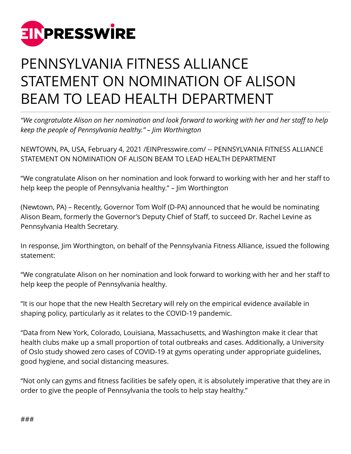

## PENNSYLVANIA FITNESS ALLIANCE STATEMENT ON NOMINATION OF ALISON BEAM TO LEAD HEALTH DEPARTMENT

*"We congratulate Alison on her nomination and look forward to working with her and her staff to help keep the people of Pennsylvania healthy." – Jim Worthington*

NEWTOWN, PA, USA, February 4, 2021 /[EINPresswire.com](http://www.einpresswire.com)/ -- PENNSYLVANIA FITNESS ALLIANCE STATEMENT ON NOMINATION OF ALISON BEAM TO LEAD HEALTH DEPARTMENT

"We congratulate Alison on her nomination and look forward to working with her and her staff to help keep the people of Pennsylvania healthy." – Jim Worthington

(Newtown, PA) – Recently, Governor Tom Wolf (D-PA) announced that he would be nominating Alison Beam, formerly the Governor's Deputy Chief of Staff, to succeed Dr. Rachel Levine as Pennsylvania Health Secretary.

In response, Jim Worthington, on behalf of the Pennsylvania Fitness Alliance, issued the following statement:

"We congratulate Alison on her nomination and look forward to working with her and her staff to help keep the people of Pennsylvania healthy.

"It is our hope that the new Health Secretary will rely on the empirical evidence available in shaping policy, particularly as it relates to the COVID-19 pandemic.

"Data from New York, Colorado, Louisiana, Massachusetts, and Washington make it clear that health clubs make up a small proportion of total outbreaks and cases. Additionally, a University of Oslo study showed zero cases of COVID-19 at gyms operating under appropriate guidelines, good hygiene, and social distancing measures.

"Not only can gyms and fitness facilities be safely open, it is absolutely imperative that they are in order to give the people of Pennsylvania the tools to help stay healthy."